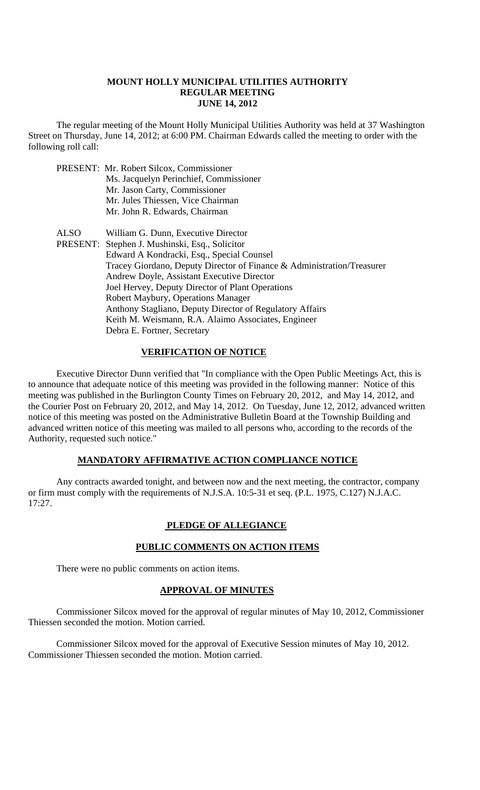## **MOUNT HOLLY MUNICIPAL UTILITIES AUTHORITY REGULAR MEETING JUNE 14, 2012**

 The regular meeting of the Mount Holly Municipal Utilities Authority was held at 37 Washington Street on Thursday, June 14, 2012; at 6:00 PM. Chairman Edwards called the meeting to order with the following roll call:

|             | PRESENT: Mr. Robert Silcox, Commissioner<br>Ms. Jacquelyn Perinchief, Commissioner<br>Mr. Jason Carty, Commissioner<br>Mr. Jules Thiessen, Vice Chairman<br>Mr. John R. Edwards, Chairman                                                                                                                                                                                                                                                                                                              |
|-------------|--------------------------------------------------------------------------------------------------------------------------------------------------------------------------------------------------------------------------------------------------------------------------------------------------------------------------------------------------------------------------------------------------------------------------------------------------------------------------------------------------------|
| <b>ALSO</b> | William G. Dunn, Executive Director<br>PRESENT: Stephen J. Mushinski, Esq., Solicitor<br>Edward A Kondracki, Esq., Special Counsel<br>Tracey Giordano, Deputy Director of Finance & Administration/Treasurer<br>Andrew Doyle, Assistant Executive Director<br>Joel Hervey, Deputy Director of Plant Operations<br>Robert Maybury, Operations Manager<br>Anthony Stagliano, Deputy Director of Regulatory Affairs<br>Keith M. Weismann, R.A. Alaimo Associates, Engineer<br>Debra E. Fortner, Secretary |

# **VERIFICATION OF NOTICE**

 Executive Director Dunn verified that "In compliance with the Open Public Meetings Act, this is to announce that adequate notice of this meeting was provided in the following manner: Notice of this meeting was published in the Burlington County Times on February 20, 2012, and May 14, 2012, and the Courier Post on February 20, 2012, and May 14, 2012. On Tuesday, June 12, 2012, advanced written notice of this meeting was posted on the Administrative Bulletin Board at the Township Building and advanced written notice of this meeting was mailed to all persons who, according to the records of the Authority, requested such notice."

# **MANDATORY AFFIRMATIVE ACTION COMPLIANCE NOTICE**

 Any contracts awarded tonight, and between now and the next meeting, the contractor, company or firm must comply with the requirements of N.J.S.A. 10:5-31 et seq. (P.L. 1975, C.127) N.J.A.C. 17:27.

# **PLEDGE OF ALLEGIANCE**

# **PUBLIC COMMENTS ON ACTION ITEMS**

There were no public comments on action items.

#### **APPROVAL OF MINUTES**

Commissioner Silcox moved for the approval of regular minutes of May 10, 2012, Commissioner Thiessen seconded the motion. Motion carried.

Commissioner Silcox moved for the approval of Executive Session minutes of May 10, 2012. Commissioner Thiessen seconded the motion. Motion carried.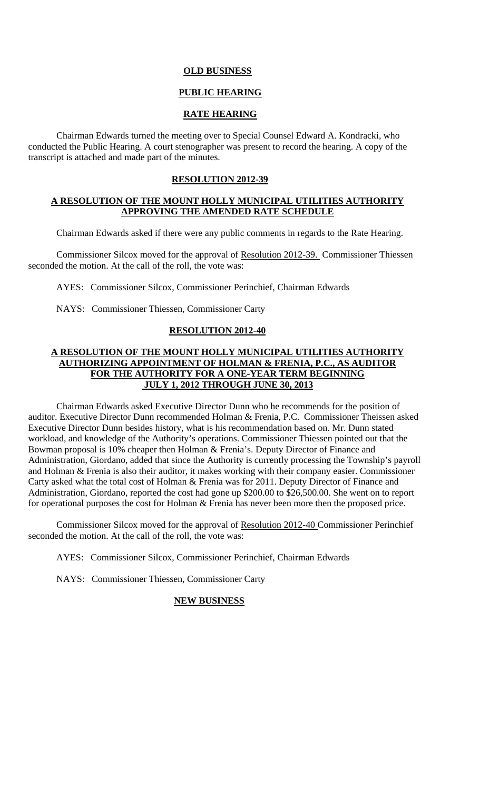# **OLD BUSINESS**

# **PUBLIC HEARING**

# **RATE HEARING**

Chairman Edwards turned the meeting over to Special Counsel Edward A. Kondracki, who conducted the Public Hearing. A court stenographer was present to record the hearing. A copy of the transcript is attached and made part of the minutes.

#### **RESOLUTION 2012-39**

# **A RESOLUTION OF THE MOUNT HOLLY MUNICIPAL UTILITIES AUTHORITY APPROVING THE AMENDED RATE SCHEDULE**

Chairman Edwards asked if there were any public comments in regards to the Rate Hearing.

Commissioner Silcox moved for the approval of Resolution 2012-39. Commissioner Thiessen seconded the motion. At the call of the roll, the vote was:

AYES: Commissioner Silcox, Commissioner Perinchief, Chairman Edwards

NAYS: Commissioner Thiessen, Commissioner Carty

#### **RESOLUTION 2012-40**

# **A RESOLUTION OF THE MOUNT HOLLY MUNICIPAL UTILITIES AUTHORITY AUTHORIZING APPOINTMENT OF HOLMAN & FRENIA, P.C., AS AUDITOR FOR THE AUTHORITY FOR A ONE-YEAR TERM BEGINNING JULY 1, 2012 THROUGH JUNE 30, 2013**

 Chairman Edwards asked Executive Director Dunn who he recommends for the position of auditor. Executive Director Dunn recommended Holman & Frenia, P.C. Commissioner Theissen asked Executive Director Dunn besides history, what is his recommendation based on. Mr. Dunn stated workload, and knowledge of the Authority's operations. Commissioner Thiessen pointed out that the Bowman proposal is 10% cheaper then Holman & Frenia's. Deputy Director of Finance and Administration, Giordano, added that since the Authority is currently processing the Township's payroll and Holman & Frenia is also their auditor, it makes working with their company easier. Commissioner Carty asked what the total cost of Holman & Frenia was for 2011. Deputy Director of Finance and Administration, Giordano, reported the cost had gone up \$200.00 to \$26,500.00. She went on to report for operational purposes the cost for Holman & Frenia has never been more then the proposed price.

Commissioner Silcox moved for the approval of Resolution 2012-40 Commissioner Perinchief seconded the motion. At the call of the roll, the vote was:

AYES: Commissioner Silcox, Commissioner Perinchief, Chairman Edwards

NAYS: Commissioner Thiessen, Commissioner Carty

# **NEW BUSINESS**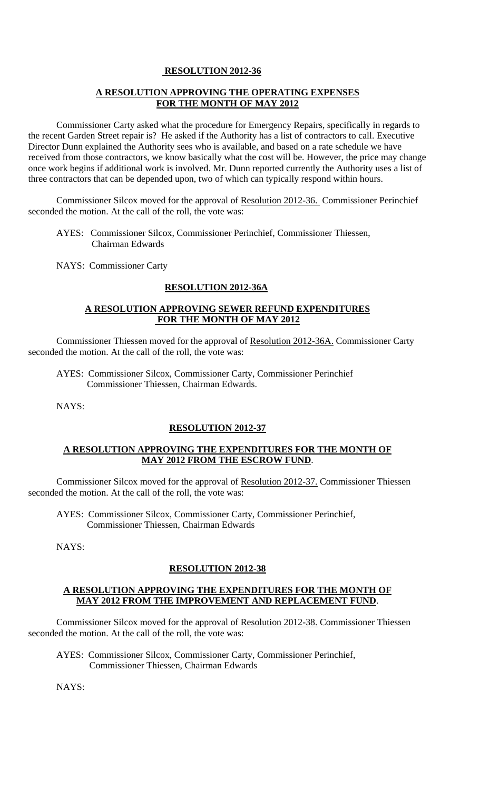# **RESOLUTION 2012-36**

# **A RESOLUTION APPROVING THE OPERATING EXPENSES FOR THE MONTH OF MAY 2012**

Commissioner Carty asked what the procedure for Emergency Repairs, specifically in regards to the recent Garden Street repair is? He asked if the Authority has a list of contractors to call. Executive Director Dunn explained the Authority sees who is available, and based on a rate schedule we have received from those contractors, we know basically what the cost will be. However, the price may change once work begins if additional work is involved. Mr. Dunn reported currently the Authority uses a list of three contractors that can be depended upon, two of which can typically respond within hours.

Commissioner Silcox moved for the approval of Resolution 2012-36. Commissioner Perinchief seconded the motion. At the call of the roll, the vote was:

 AYES: Commissioner Silcox, Commissioner Perinchief, Commissioner Thiessen, Chairman Edwards

NAYS: Commissioner Carty

# **RESOLUTION 2012-36A**

# **A RESOLUTION APPROVING SEWER REFUND EXPENDITURES FOR THE MONTH OF MAY 2012**

Commissioner Thiessen moved for the approval of Resolution 2012-36A. Commissioner Carty seconded the motion. At the call of the roll, the vote was:

AYES: Commissioner Silcox, Commissioner Carty, Commissioner Perinchief Commissioner Thiessen, Chairman Edwards.

NAYS:

# **RESOLUTION 2012-37**

# **A RESOLUTION APPROVING THE EXPENDITURES FOR THE MONTH OF MAY 2012 FROM THE ESCROW FUND**.

Commissioner Silcox moved for the approval of Resolution 2012-37. Commissioner Thiessen seconded the motion. At the call of the roll, the vote was:

AYES: Commissioner Silcox, Commissioner Carty, Commissioner Perinchief, Commissioner Thiessen, Chairman Edwards

NAYS:

# **RESOLUTION 2012-38**

#### **A RESOLUTION APPROVING THE EXPENDITURES FOR THE MONTH OF MAY 2012 FROM THE IMPROVEMENT AND REPLACEMENT FUND**.

Commissioner Silcox moved for the approval of Resolution 2012-38. Commissioner Thiessen seconded the motion. At the call of the roll, the vote was:

AYES: Commissioner Silcox, Commissioner Carty, Commissioner Perinchief, Commissioner Thiessen, Chairman Edwards

NAYS: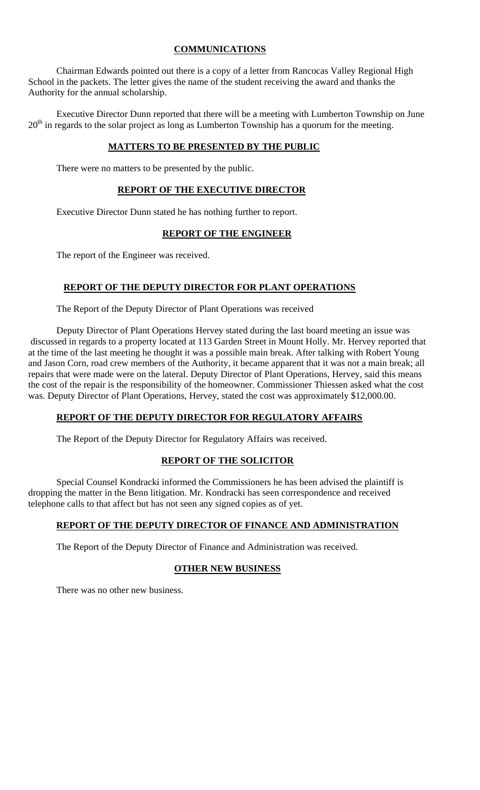# **COMMUNICATIONS**

 Chairman Edwards pointed out there is a copy of a letter from Rancocas Valley Regional High School in the packets. The letter gives the name of the student receiving the award and thanks the Authority for the annual scholarship.

 Executive Director Dunn reported that there will be a meeting with Lumberton Township on June  $20<sup>th</sup>$  in regards to the solar project as long as Lumberton Township has a quorum for the meeting.

# **MATTERS TO BE PRESENTED BY THE PUBLIC**

There were no matters to be presented by the public.

# **REPORT OF THE EXECUTIVE DIRECTOR**

Executive Director Dunn stated he has nothing further to report.

#### **REPORT OF THE ENGINEER**

The report of the Engineer was received.

# **REPORT OF THE DEPUTY DIRECTOR FOR PLANT OPERATIONS**

The Report of the Deputy Director of Plant Operations was received

Deputy Director of Plant Operations Hervey stated during the last board meeting an issue was discussed in regards to a property located at 113 Garden Street in Mount Holly. Mr. Hervey reported that at the time of the last meeting he thought it was a possible main break. After talking with Robert Young and Jason Corn, road crew members of the Authority, it became apparent that it was not a main break; all repairs that were made were on the lateral. Deputy Director of Plant Operations, Hervey, said this means the cost of the repair is the responsibility of the homeowner. Commissioner Thiessen asked what the cost was. Deputy Director of Plant Operations, Hervey, stated the cost was approximately \$12,000.00.

# **REPORT OF THE DEPUTY DIRECTOR FOR REGULATORY AFFAIRS**

The Report of the Deputy Director for Regulatory Affairs was received.

# **REPORT OF THE SOLICITOR**

Special Counsel Kondracki informed the Commissioners he has been advised the plaintiff is dropping the matter in the Benn litigation. Mr. Kondracki has seen correspondence and received telephone calls to that affect but has not seen any signed copies as of yet.

# **REPORT OF THE DEPUTY DIRECTOR OF FINANCE AND ADMINISTRATION**

The Report of the Deputy Director of Finance and Administration was received.

# **OTHER NEW BUSINESS**

There was no other new business.